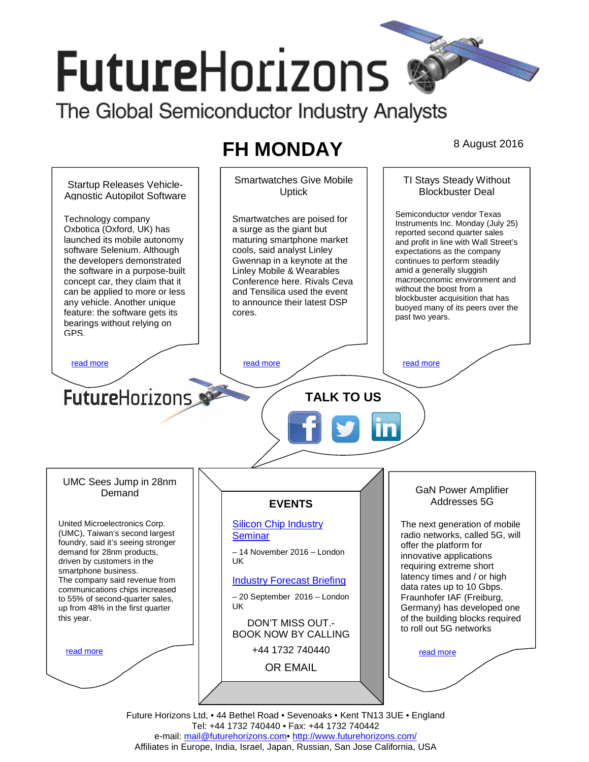# **FutureHorizons**

The Global Semiconductor Industry Analysts

# FH MONDAY 8 August 2016

Smartwatches Give Mobile TI Stays Steady Without Startup Releases Vehicle-Blockbuster Deal Uptick Agnostic Autopilot Software Semiconductor vendor Texas Technology company Smartwatches are poised for Instruments Inc. Monday (July 25) Oxbotica (Oxford, UK) has a surge as the giant but reported second quarter sales launched its mobile autonomy maturing smartphone market and profit in line with Wall Street's software Selenium. Although cools, said analyst Linley expectations as the company the developers demonstrated Gwennap in a keynote at the continues to perform steadily amid a generally sluggish the software in a purpose-built Linley Mobile & Wearables macroeconomic environment and concept car, they claim that it Conference here. Rivals Ceva without the boost from a can be applied to more or less and Tensilica used the event blockbuster acquisition that has any vehicle. Another unique to announce their latest DSP buoyed many of its peers over the feature: the software gets its cores. past two years. bearings without relying on GPS. read more the contract of the read more that the read more that the read more that  $\sim$  read more **FutureHorizons TALK TO US**  UMC Sees Jump in 28nm GaN Power Amplifier Demand **EVENTS**  Addresses 5G United Microelectronics Corp. **Silicon Chip Industry** The next generation of mobile (UMC), Taiwan's second largest **Seminar** radio networks, called 5G, will foundry, said it's seeing stronger offer the platform for demand for 28nm products, – 14 November 2016 – London innovative applications driven by customers in the UK requiring extreme short smartphone business. latency times and / or high The company said revenue from Industry Forecast Briefing data rates up to 10 Gbps. communications chips increased – 20 September 2016 – London Fraunhofer IAF (Freiburg, to 55% of second-quarter sales, UK Germany) has developed one up from 48% in the first quarter of the building blocks required this year. DON'T MISS OUT. to roll out 5G networks BOOK NOW BY CALLING +44 1732 740440 read more read more OR EMAIL **mail@futurehorizons.com**

> Future Horizons Ltd, • 44 Bethel Road • Sevenoaks • Kent TN13 3UE • England Tel: +44 1732 740440 • Fax: +44 1732 740442 e-mail: mail@futurehorizons.com• http://www.futurehorizons.com/ Affiliates in Europe, India, Israel, Japan, Russian, San Jose California, USA